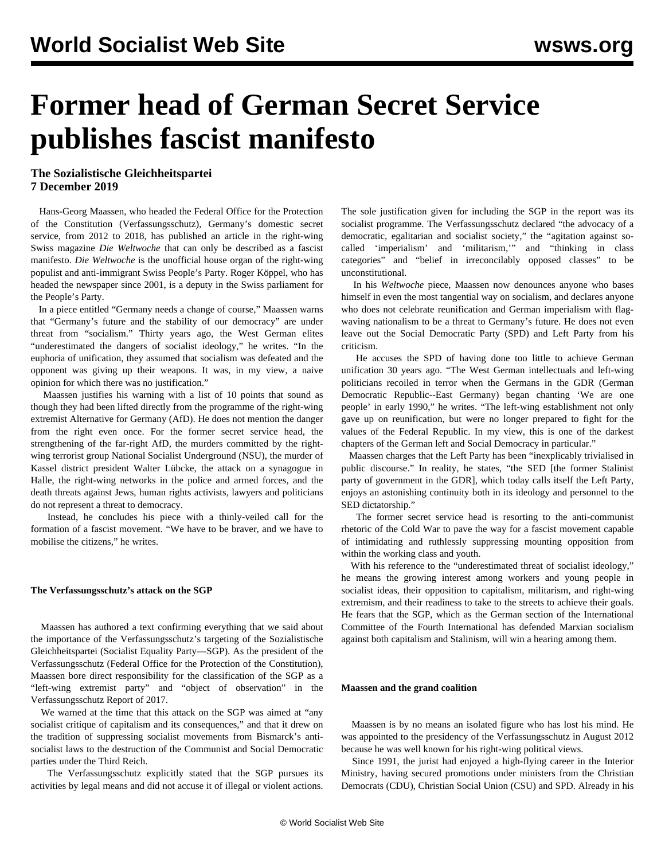# **Former head of German Secret Service publishes fascist manifesto**

# **The Sozialistische Gleichheitspartei 7 December 2019**

 Hans-Georg Maassen, who headed the Federal Office for the Protection of the Constitution (Verfassungsschutz), Germany's domestic secret service, from 2012 to 2018, has published an article in the right-wing Swiss magazine *Die Weltwoche* that can only be described as a fascist manifesto. *Die Weltwoche* is the unofficial house organ of the right-wing populist and anti-immigrant Swiss People's Party. Roger Köppel, who has headed the newspaper since 2001, is a deputy in the Swiss parliament for the People's Party.

 In a piece entitled "Germany needs a change of course," Maassen warns that "Germany's future and the stability of our democracy" are under threat from "socialism." Thirty years ago, the West German elites "underestimated the dangers of socialist ideology," he writes. "In the euphoria of unification, they assumed that socialism was defeated and the opponent was giving up their weapons. It was, in my view, a naive opinion for which there was no justification."

 Maassen justifies his warning with a list of 10 points that sound as though they had been lifted directly from the programme of the right-wing extremist Alternative for Germany (AfD). He does not mention the danger from the right even once. For the former secret service head, the strengthening of the far-right AfD, the murders committed by the rightwing terrorist group National Socialist Underground (NSU), the murder of Kassel district president Walter Lübcke, the attack on a synagogue in Halle, the right-wing networks in the police and armed forces, and the death threats against Jews, human rights activists, lawyers and politicians do not represent a threat to democracy.

 Instead, he concludes his piece with a thinly-veiled call for the formation of a fascist movement. "We have to be braver, and we have to mobilise the citizens," he writes.

## **The Verfassungsschutz's attack on the SGP**

 Maassen has authored a text confirming everything that we said about the importance of the Verfassungsschutz's targeting of the Sozialistische Gleichheitspartei (Socialist Equality Party—SGP). As the president of the Verfassungsschutz (Federal Office for the Protection of the Constitution), Maassen bore direct responsibility for the classification of the SGP as a "left-wing extremist party" and "object of observation" in the Verfassungsschutz Report of 2017.

 We warned at the time that this attack on the SGP was aimed at "any socialist critique of capitalism and its consequences," and that it drew on the tradition of suppressing socialist movements from Bismarck's antisocialist laws to the destruction of the Communist and Social Democratic parties under the Third Reich.

 The Verfassungsschutz explicitly stated that the SGP pursues its activities by legal means and did not accuse it of illegal or violent actions.

The sole justification given for including the SGP in the report was its socialist programme. The Verfassungsschutz declared "the advocacy of a democratic, egalitarian and socialist society," the "agitation against socalled 'imperialism' and 'militarism,'" and "thinking in class categories" and "belief in irreconcilably opposed classes" to be unconstitutional.

 In his *Weltwoche* piece, Maassen now denounces anyone who bases himself in even the most tangential way on socialism, and declares anyone who does not celebrate reunification and German imperialism with flagwaving nationalism to be a threat to Germany's future. He does not even leave out the Social Democratic Party (SPD) and Left Party from his criticism.

 He accuses the SPD of having done too little to achieve German unification 30 years ago. "The West German intellectuals and left-wing politicians recoiled in terror when the Germans in the GDR (German Democratic Republic--East Germany) began chanting 'We are one people' in early 1990," he writes. "The left-wing establishment not only gave up on reunification, but were no longer prepared to fight for the values of the Federal Republic. In my view, this is one of the darkest chapters of the German left and Social Democracy in particular."

 Maassen charges that the Left Party has been "inexplicably trivialised in public discourse." In reality, he states, "the SED [the former Stalinist party of government in the GDR], which today calls itself the Left Party, enjoys an astonishing continuity both in its ideology and personnel to the SED dictatorship."

 The former secret service head is resorting to the anti-communist rhetoric of the Cold War to pave the way for a fascist movement capable of intimidating and ruthlessly suppressing mounting opposition from within the working class and youth.

 With his reference to the "underestimated threat of socialist ideology," he means the growing interest among workers and young people in socialist ideas, their opposition to capitalism, militarism, and right-wing extremism, and their readiness to take to the streets to achieve their goals. He fears that the SGP, which as the German section of the International Committee of the Fourth International has defended Marxian socialism against both capitalism and Stalinism, will win a hearing among them.

### **Maassen and the grand coalition**

 Maassen is by no means an isolated figure who has lost his mind. He was appointed to the presidency of the Verfassungsschutz in August 2012 because he was well known for his right-wing political views.

 Since 1991, the jurist had enjoyed a high-flying career in the Interior Ministry, having secured promotions under ministers from the Christian Democrats (CDU), Christian Social Union (CSU) and SPD. Already in his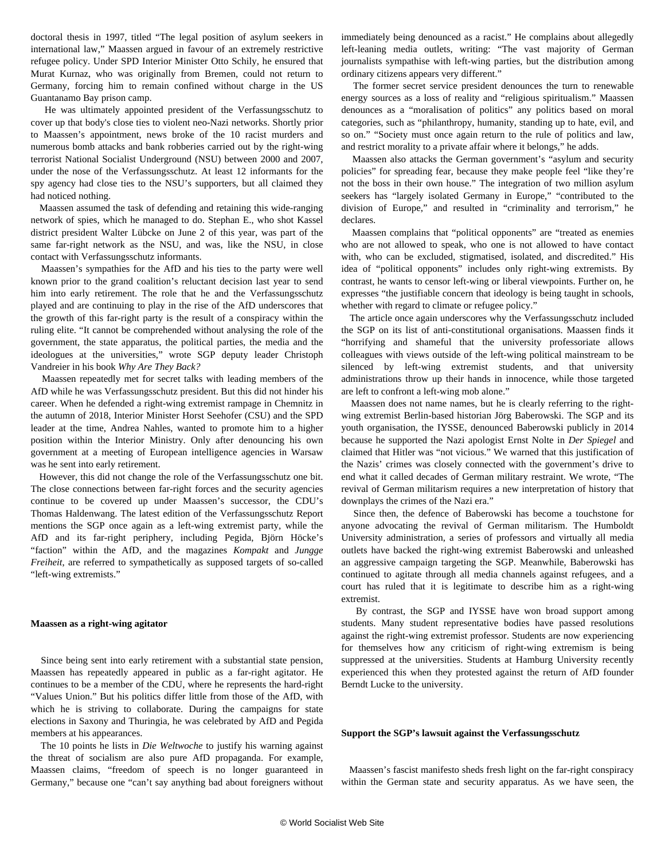doctoral thesis in 1997, titled "The legal position of asylum seekers in international law," Maassen argued in favour of an extremely restrictive refugee policy. Under SPD Interior Minister Otto Schily, he ensured that Murat Kurnaz, who was originally from Bremen, could not return to Germany, forcing him to remain confined without charge in the US Guantanamo Bay prison camp.

 He was ultimately appointed president of the Verfassungsschutz to cover up that body's close ties to violent neo-Nazi networks. Shortly prior to Maassen's appointment, news broke of the 10 racist murders and numerous bomb attacks and bank robberies carried out by the right-wing terrorist National Socialist Underground (NSU) between 2000 and 2007, under the nose of the Verfassungsschutz. At least 12 informants for the spy agency had close ties to the NSU's supporters, but all claimed they had noticed nothing.

 Maassen assumed the task of defending and retaining this wide-ranging network of spies, which he managed to do. Stephan E., who shot Kassel district president Walter Lübcke on June 2 of this year, was part of the same far-right network as the NSU, and was, like the NSU, in close contact with Verfassungsschutz informants.

 Maassen's sympathies for the AfD and his ties to the party were well known prior to the grand coalition's reluctant decision last year to send him into early retirement. The role that he and the Verfassungsschutz played and are continuing to play in the rise of the AfD underscores that the growth of this far-right party is the result of a conspiracy within the ruling elite. "It cannot be comprehended without analysing the role of the government, the state apparatus, the political parties, the media and the ideologues at the universities," wrote SGP deputy leader Christoph Vandreier in his book *Why Are They Back?*

 Maassen repeatedly met for secret talks with leading members of the AfD while he was Verfassungsschutz president. But this did not hinder his career. When he defended a right-wing extremist rampage in Chemnitz in the autumn of 2018, Interior Minister Horst Seehofer (CSU) and the SPD leader at the time, Andrea Nahles, wanted to promote him to a higher position within the Interior Ministry. Only after denouncing his own government at a meeting of European intelligence agencies in Warsaw was he sent into early retirement.

 However, this did not change the role of the Verfassungsschutz one bit. The close connections between far-right forces and the security agencies continue to be covered up under Maassen's successor, the CDU's Thomas Haldenwang. The latest edition of the Verfassungsschutz Report mentions the SGP once again as a left-wing extremist party, while the AfD and its far-right periphery, including Pegida, Björn Höcke's "faction" within the AfD, and the magazines *Kompakt* and *Jungge Freiheit*, are referred to sympathetically as supposed targets of so-called "left-wing extremists."

#### **Maassen as a right-wing agitator**

 Since being sent into early retirement with a substantial state pension, Maassen has repeatedly appeared in public as a far-right agitator. He continues to be a member of the CDU, where he represents the hard-right "Values Union." But his politics differ little from those of the AfD, with which he is striving to collaborate. During the campaigns for state elections in Saxony and Thuringia, he was celebrated by AfD and Pegida members at his appearances.

 The 10 points he lists in *Die Weltwoche* to justify his warning against the threat of socialism are also pure AfD propaganda. For example, Maassen claims, "freedom of speech is no longer guaranteed in Germany," because one "can't say anything bad about foreigners without immediately being denounced as a racist." He complains about allegedly left-leaning media outlets, writing: "The vast majority of German journalists sympathise with left-wing parties, but the distribution among ordinary citizens appears very different."

 The former secret service president denounces the turn to renewable energy sources as a loss of reality and "religious spiritualism." Maassen denounces as a "moralisation of politics" any politics based on moral categories, such as "philanthropy, humanity, standing up to hate, evil, and so on." "Society must once again return to the rule of politics and law, and restrict morality to a private affair where it belongs," he adds.

 Maassen also attacks the German government's "asylum and security policies" for spreading fear, because they make people feel "like they're not the boss in their own house." The integration of two million asylum seekers has "largely isolated Germany in Europe," "contributed to the division of Europe," and resulted in "criminality and terrorism," he declares.

 Maassen complains that "political opponents" are "treated as enemies who are not allowed to speak, who one is not allowed to have contact with, who can be excluded, stigmatised, isolated, and discredited." His idea of "political opponents" includes only right-wing extremists. By contrast, he wants to censor left-wing or liberal viewpoints. Further on, he expresses "the justifiable concern that ideology is being taught in schools, whether with regard to climate or refugee policy."

 The article once again underscores why the Verfassungsschutz included the SGP on its list of anti-constitutional organisations. Maassen finds it "horrifying and shameful that the university professoriate allows colleagues with views outside of the left-wing political mainstream to be silenced by left-wing extremist students, and that university administrations throw up their hands in innocence, while those targeted are left to confront a left-wing mob alone."

 Maassen does not name names, but he is clearly referring to the rightwing extremist Berlin-based historian Jörg Baberowski. The SGP and its youth organisation, the IYSSE, denounced Baberowski publicly in 2014 because he supported the Nazi apologist Ernst Nolte in *Der Spiegel* and claimed that Hitler was "not vicious." We warned that this justification of the Nazis' crimes was closely connected with the government's drive to end what it called decades of German military restraint. We wrote, "The revival of German militarism requires a new interpretation of history that downplays the crimes of the Nazi era."

 Since then, the defence of Baberowski has become a touchstone for anyone advocating the revival of German militarism. The Humboldt University administration, a series of professors and virtually all media outlets have backed the right-wing extremist Baberowski and unleashed an aggressive campaign targeting the SGP. Meanwhile, Baberowski has continued to agitate through all media channels against refugees, and a court has ruled that it is legitimate to describe him as a right-wing extremist.

 By contrast, the SGP and IYSSE have won broad support among students. Many student representative bodies have passed resolutions against the right-wing extremist professor. Students are now experiencing for themselves how any criticism of right-wing extremism is being suppressed at the universities. Students at Hamburg University recently experienced this when they protested against the return of AfD founder Berndt Lucke to the university.

#### **Support the SGP's lawsuit against the Verfassungsschutz**

 Maassen's fascist manifesto sheds fresh light on the far-right conspiracy within the German state and security apparatus. As we have seen, the